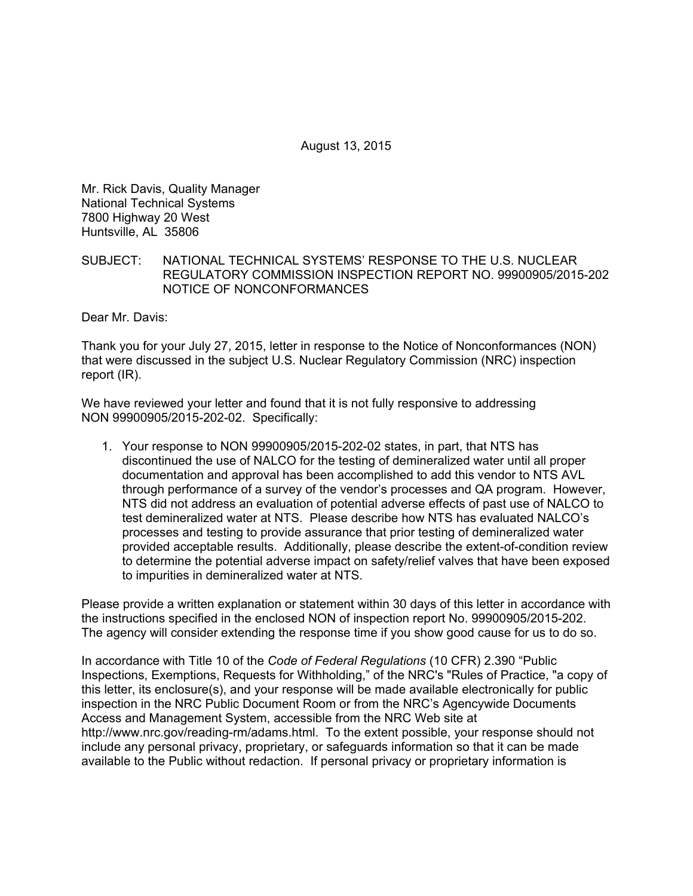August 13, 2015

Mr. Rick Davis, Quality Manager National Technical Systems 7800 Highway 20 West Huntsville, AL 35806

# SUBJECT: NATIONAL TECHNICAL SYSTEMS' RESPONSE TO THE U.S. NUCLEAR REGULATORY COMMISSION INSPECTION REPORT NO. 99900905/2015-202 NOTICE OF NONCONFORMANCES

Dear Mr. Davis:

Thank you for your July 27, 2015, letter in response to the Notice of Nonconformances (NON) that were discussed in the subject U.S. Nuclear Regulatory Commission (NRC) inspection report (IR).

We have reviewed your letter and found that it is not fully responsive to addressing NON 99900905/2015-202-02. Specifically:

1. Your response to NON 99900905/2015-202-02 states, in part, that NTS has discontinued the use of NALCO for the testing of demineralized water until all proper documentation and approval has been accomplished to add this vendor to NTS AVL through performance of a survey of the vendor's processes and QA program. However, NTS did not address an evaluation of potential adverse effects of past use of NALCO to test demineralized water at NTS. Please describe how NTS has evaluated NALCO's processes and testing to provide assurance that prior testing of demineralized water provided acceptable results. Additionally, please describe the extent-of-condition review to determine the potential adverse impact on safety/relief valves that have been exposed to impurities in demineralized water at NTS.

Please provide a written explanation or statement within 30 days of this letter in accordance with the instructions specified in the enclosed NON of inspection report No. 99900905/2015-202. The agency will consider extending the response time if you show good cause for us to do so.

In accordance with Title 10 of the *Code of Federal Regulations* (10 CFR) 2.390 "Public Inspections, Exemptions, Requests for Withholding," of the NRC's "Rules of Practice, "a copy of this letter, its enclosure(s), and your response will be made available electronically for public inspection in the NRC Public Document Room or from the NRC's Agencywide Documents Access and Management System, accessible from the NRC Web site at http://www.nrc.gov/reading-rm/adams.html. To the extent possible, your response should not include any personal privacy, proprietary, or safeguards information so that it can be made available to the Public without redaction. If personal privacy or proprietary information is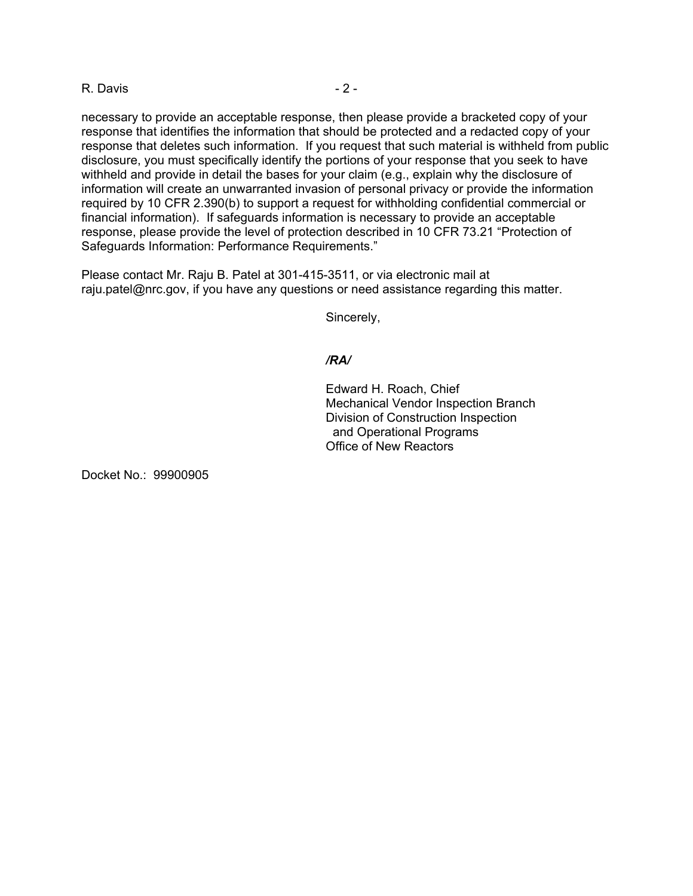## R. Davis - 2 -

necessary to provide an acceptable response, then please provide a bracketed copy of your response that identifies the information that should be protected and a redacted copy of your response that deletes such information. If you request that such material is withheld from public disclosure, you must specifically identify the portions of your response that you seek to have withheld and provide in detail the bases for your claim (e.g., explain why the disclosure of information will create an unwarranted invasion of personal privacy or provide the information required by 10 CFR 2.390(b) to support a request for withholding confidential commercial or financial information). If safeguards information is necessary to provide an acceptable response, please provide the level of protection described in 10 CFR 73.21 "Protection of Safeguards Information: Performance Requirements."

Please contact Mr. Raju B. Patel at 301-415-3511, or via electronic mail at raju.patel@nrc.gov, if you have any questions or need assistance regarding this matter.

Sincerely,

#### */RA/*

Edward H. Roach, Chief Mechanical Vendor Inspection Branch Division of Construction Inspection and Operational Programs Office of New Reactors

Docket No.: 99900905